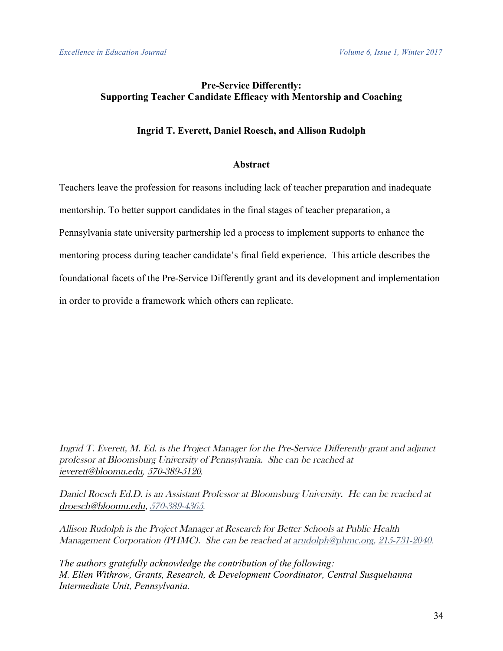## **Pre-Service Differently: Supporting Teacher Candidate Efficacy with Mentorship and Coaching**

### **Ingrid T. Everett, Daniel Roesch, and Allison Rudolph**

#### **Abstract**

Teachers leave the profession for reasons including lack of teacher preparation and inadequate mentorship. To better support candidates in the final stages of teacher preparation, a Pennsylvania state university partnership led a process to implement supports to enhance the mentoring process during teacher candidate's final field experience. This article describes the foundational facets of the Pre-Service Differently grant and its development and implementation in order to provide a framework which others can replicate.

Ingrid T. Everett, M. Ed. is the Project Manager for the Pre-Service Differently grant and adjunct professor at Bloomsburg University of Pennsylvania. She can be reached at ieverett@bloomu.edu*,* 570-389-5120*.*

Daniel Roesch Ed.D. is an Assistant Professor at Bloomsburg University. He can be reached at droesch@bloomu.edu, 570-389-4365*.*

Allison Rudolph is the Project Manager at Research for Better Schools at Public Health Management Corporation (PHMC). She can be reached at arudolph@phmc.org, 215-731-2040*.*

*The authors gratefully acknowledge the contribution of the following: M. Ellen Withrow, Grants, Research, & Development Coordinator, Central Susquehanna Intermediate Unit, Pennsylvania.*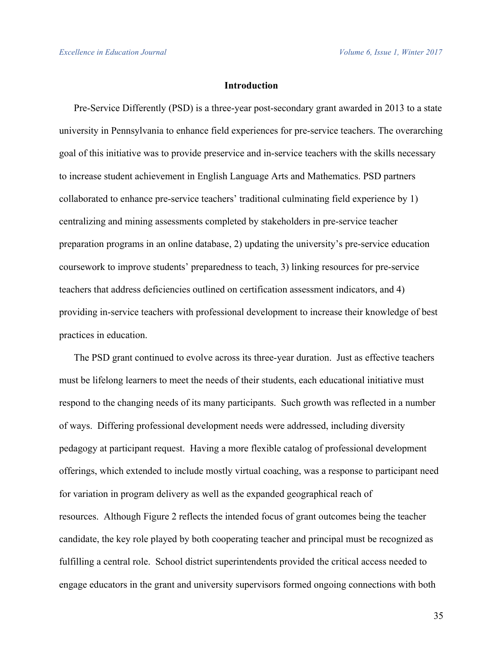#### **Introduction**

Pre-Service Differently (PSD) is a three-year post-secondary grant awarded in 2013 to a state university in Pennsylvania to enhance field experiences for pre-service teachers. The overarching goal of this initiative was to provide preservice and in-service teachers with the skills necessary to increase student achievement in English Language Arts and Mathematics. PSD partners collaborated to enhance pre-service teachers' traditional culminating field experience by 1) centralizing and mining assessments completed by stakeholders in pre-service teacher preparation programs in an online database, 2) updating the university's pre-service education coursework to improve students' preparedness to teach, 3) linking resources for pre-service teachers that address deficiencies outlined on certification assessment indicators, and 4) providing in-service teachers with professional development to increase their knowledge of best practices in education.

The PSD grant continued to evolve across its three-year duration. Just as effective teachers must be lifelong learners to meet the needs of their students, each educational initiative must respond to the changing needs of its many participants. Such growth was reflected in a number of ways. Differing professional development needs were addressed, including diversity pedagogy at participant request. Having a more flexible catalog of professional development offerings, which extended to include mostly virtual coaching, was a response to participant need for variation in program delivery as well as the expanded geographical reach of resources. Although Figure 2 reflects the intended focus of grant outcomes being the teacher candidate, the key role played by both cooperating teacher and principal must be recognized as fulfilling a central role. School district superintendents provided the critical access needed to engage educators in the grant and university supervisors formed ongoing connections with both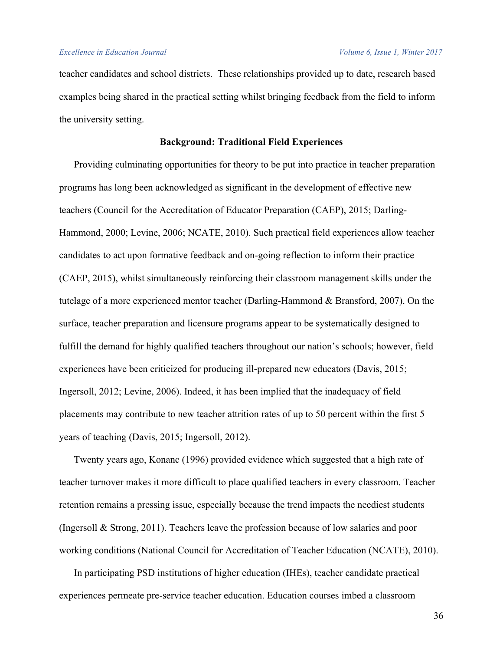teacher candidates and school districts. These relationships provided up to date, research based examples being shared in the practical setting whilst bringing feedback from the field to inform the university setting.

## **Background: Traditional Field Experiences**

Providing culminating opportunities for theory to be put into practice in teacher preparation programs has long been acknowledged as significant in the development of effective new teachers (Council for the Accreditation of Educator Preparation (CAEP), 2015; Darling-Hammond, 2000; Levine, 2006; NCATE, 2010). Such practical field experiences allow teacher candidates to act upon formative feedback and on-going reflection to inform their practice (CAEP, 2015), whilst simultaneously reinforcing their classroom management skills under the tutelage of a more experienced mentor teacher (Darling-Hammond & Bransford, 2007). On the surface, teacher preparation and licensure programs appear to be systematically designed to fulfill the demand for highly qualified teachers throughout our nation's schools; however, field experiences have been criticized for producing ill-prepared new educators (Davis, 2015; Ingersoll, 2012; Levine, 2006). Indeed, it has been implied that the inadequacy of field placements may contribute to new teacher attrition rates of up to 50 percent within the first 5 years of teaching (Davis, 2015; Ingersoll, 2012).

Twenty years ago, Konanc (1996) provided evidence which suggested that a high rate of teacher turnover makes it more difficult to place qualified teachers in every classroom. Teacher retention remains a pressing issue, especially because the trend impacts the neediest students (Ingersoll & Strong, 2011). Teachers leave the profession because of low salaries and poor working conditions (National Council for Accreditation of Teacher Education (NCATE), 2010).

In participating PSD institutions of higher education (IHEs), teacher candidate practical experiences permeate pre-service teacher education. Education courses imbed a classroom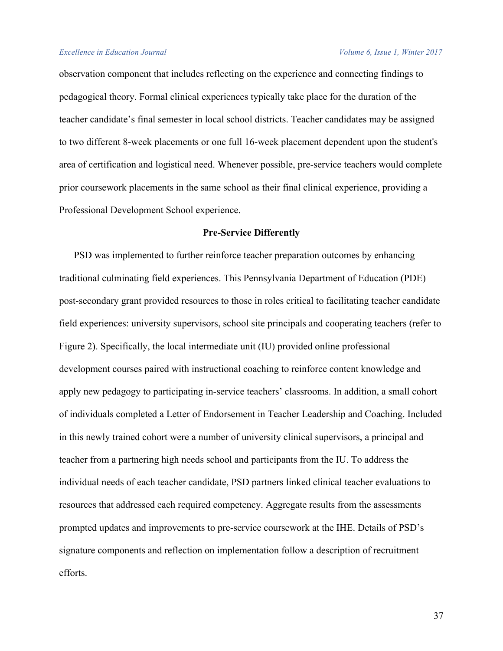observation component that includes reflecting on the experience and connecting findings to pedagogical theory. Formal clinical experiences typically take place for the duration of the teacher candidate's final semester in local school districts. Teacher candidates may be assigned to two different 8-week placements or one full 16-week placement dependent upon the student's area of certification and logistical need. Whenever possible, pre-service teachers would complete prior coursework placements in the same school as their final clinical experience, providing a Professional Development School experience.

### **Pre-Service Differently**

PSD was implemented to further reinforce teacher preparation outcomes by enhancing traditional culminating field experiences. This Pennsylvania Department of Education (PDE) post-secondary grant provided resources to those in roles critical to facilitating teacher candidate field experiences: university supervisors, school site principals and cooperating teachers (refer to Figure 2). Specifically, the local intermediate unit (IU) provided online professional development courses paired with instructional coaching to reinforce content knowledge and apply new pedagogy to participating in-service teachers' classrooms. In addition, a small cohort of individuals completed a Letter of Endorsement in Teacher Leadership and Coaching. Included in this newly trained cohort were a number of university clinical supervisors, a principal and teacher from a partnering high needs school and participants from the IU. To address the individual needs of each teacher candidate, PSD partners linked clinical teacher evaluations to resources that addressed each required competency. Aggregate results from the assessments prompted updates and improvements to pre-service coursework at the IHE. Details of PSD's signature components and reflection on implementation follow a description of recruitment efforts.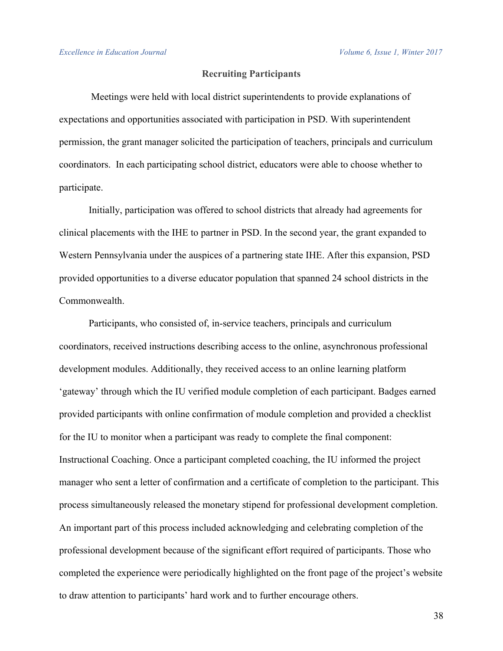## **Recruiting Participants**

Meetings were held with local district superintendents to provide explanations of expectations and opportunities associated with participation in PSD. With superintendent permission, the grant manager solicited the participation of teachers, principals and curriculum coordinators. In each participating school district, educators were able to choose whether to participate.

Initially, participation was offered to school districts that already had agreements for clinical placements with the IHE to partner in PSD. In the second year, the grant expanded to Western Pennsylvania under the auspices of a partnering state IHE. After this expansion, PSD provided opportunities to a diverse educator population that spanned 24 school districts in the Commonwealth.

Participants, who consisted of, in-service teachers, principals and curriculum coordinators, received instructions describing access to the online, asynchronous professional development modules. Additionally, they received access to an online learning platform 'gateway' through which the IU verified module completion of each participant. Badges earned provided participants with online confirmation of module completion and provided a checklist for the IU to monitor when a participant was ready to complete the final component: Instructional Coaching. Once a participant completed coaching, the IU informed the project manager who sent a letter of confirmation and a certificate of completion to the participant. This process simultaneously released the monetary stipend for professional development completion. An important part of this process included acknowledging and celebrating completion of the professional development because of the significant effort required of participants. Those who completed the experience were periodically highlighted on the front page of the project's website to draw attention to participants' hard work and to further encourage others.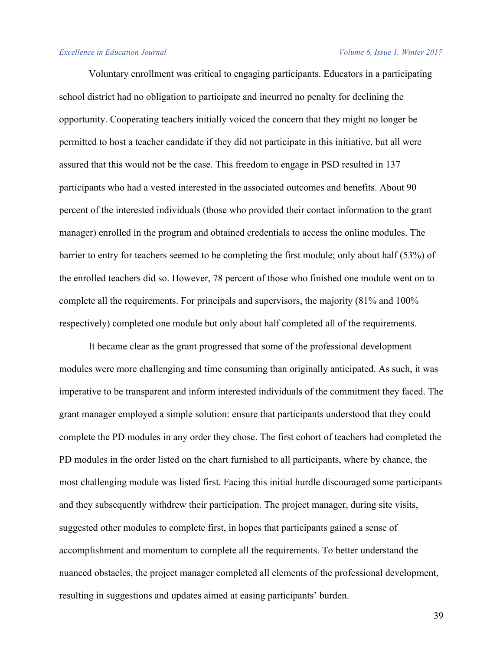#### *Excellence in Education Journal Volume 6, Issue 1, Winter 2017*

Voluntary enrollment was critical to engaging participants. Educators in a participating school district had no obligation to participate and incurred no penalty for declining the opportunity. Cooperating teachers initially voiced the concern that they might no longer be permitted to host a teacher candidate if they did not participate in this initiative, but all were assured that this would not be the case. This freedom to engage in PSD resulted in 137 participants who had a vested interested in the associated outcomes and benefits. About 90 percent of the interested individuals (those who provided their contact information to the grant manager) enrolled in the program and obtained credentials to access the online modules. The barrier to entry for teachers seemed to be completing the first module; only about half (53%) of the enrolled teachers did so. However, 78 percent of those who finished one module went on to complete all the requirements. For principals and supervisors, the majority (81% and 100% respectively) completed one module but only about half completed all of the requirements.

It became clear as the grant progressed that some of the professional development modules were more challenging and time consuming than originally anticipated. As such, it was imperative to be transparent and inform interested individuals of the commitment they faced. The grant manager employed a simple solution: ensure that participants understood that they could complete the PD modules in any order they chose. The first cohort of teachers had completed the PD modules in the order listed on the chart furnished to all participants, where by chance, the most challenging module was listed first. Facing this initial hurdle discouraged some participants and they subsequently withdrew their participation. The project manager, during site visits, suggested other modules to complete first, in hopes that participants gained a sense of accomplishment and momentum to complete all the requirements. To better understand the nuanced obstacles, the project manager completed all elements of the professional development, resulting in suggestions and updates aimed at easing participants' burden.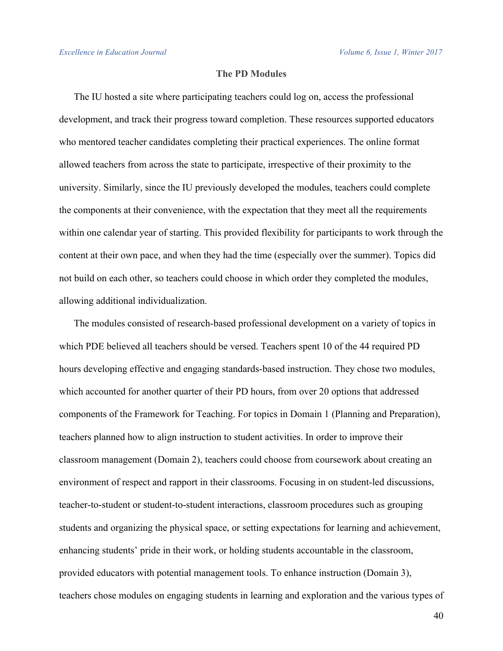# **The PD Modules**

The IU hosted a site where participating teachers could log on, access the professional development, and track their progress toward completion. These resources supported educators who mentored teacher candidates completing their practical experiences. The online format allowed teachers from across the state to participate, irrespective of their proximity to the university. Similarly, since the IU previously developed the modules, teachers could complete the components at their convenience, with the expectation that they meet all the requirements within one calendar year of starting. This provided flexibility for participants to work through the content at their own pace, and when they had the time (especially over the summer). Topics did not build on each other, so teachers could choose in which order they completed the modules, allowing additional individualization.

The modules consisted of research-based professional development on a variety of topics in which PDE believed all teachers should be versed. Teachers spent 10 of the 44 required PD hours developing effective and engaging standards-based instruction. They chose two modules, which accounted for another quarter of their PD hours, from over 20 options that addressed components of the Framework for Teaching. For topics in Domain 1 (Planning and Preparation), teachers planned how to align instruction to student activities. In order to improve their classroom management (Domain 2), teachers could choose from coursework about creating an environment of respect and rapport in their classrooms. Focusing in on student-led discussions, teacher-to-student or student-to-student interactions, classroom procedures such as grouping students and organizing the physical space, or setting expectations for learning and achievement, enhancing students' pride in their work, or holding students accountable in the classroom, provided educators with potential management tools. To enhance instruction (Domain 3), teachers chose modules on engaging students in learning and exploration and the various types of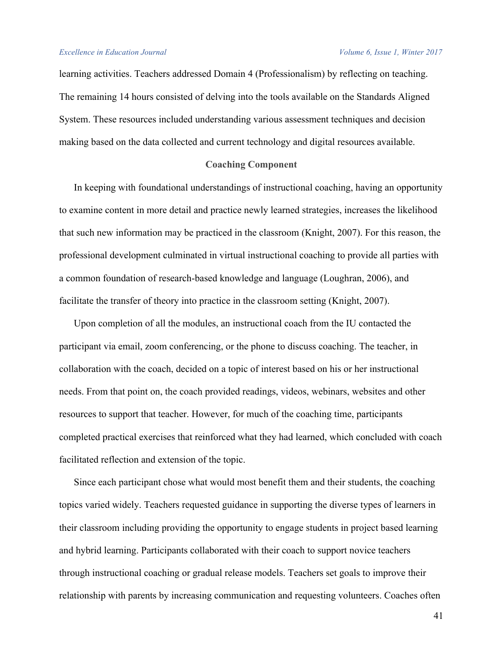learning activities. Teachers addressed Domain 4 (Professionalism) by reflecting on teaching. The remaining 14 hours consisted of delving into the tools available on the Standards Aligned System. These resources included understanding various assessment techniques and decision making based on the data collected and current technology and digital resources available.

### **Coaching Component**

In keeping with foundational understandings of instructional coaching, having an opportunity to examine content in more detail and practice newly learned strategies, increases the likelihood that such new information may be practiced in the classroom (Knight, 2007). For this reason, the professional development culminated in virtual instructional coaching to provide all parties with a common foundation of research-based knowledge and language (Loughran, 2006), and facilitate the transfer of theory into practice in the classroom setting (Knight, 2007).

Upon completion of all the modules, an instructional coach from the IU contacted the participant via email, zoom conferencing, or the phone to discuss coaching. The teacher, in collaboration with the coach, decided on a topic of interest based on his or her instructional needs. From that point on, the coach provided readings, videos, webinars, websites and other resources to support that teacher. However, for much of the coaching time, participants completed practical exercises that reinforced what they had learned, which concluded with coach facilitated reflection and extension of the topic.

Since each participant chose what would most benefit them and their students, the coaching topics varied widely. Teachers requested guidance in supporting the diverse types of learners in their classroom including providing the opportunity to engage students in project based learning and hybrid learning. Participants collaborated with their coach to support novice teachers through instructional coaching or gradual release models. Teachers set goals to improve their relationship with parents by increasing communication and requesting volunteers. Coaches often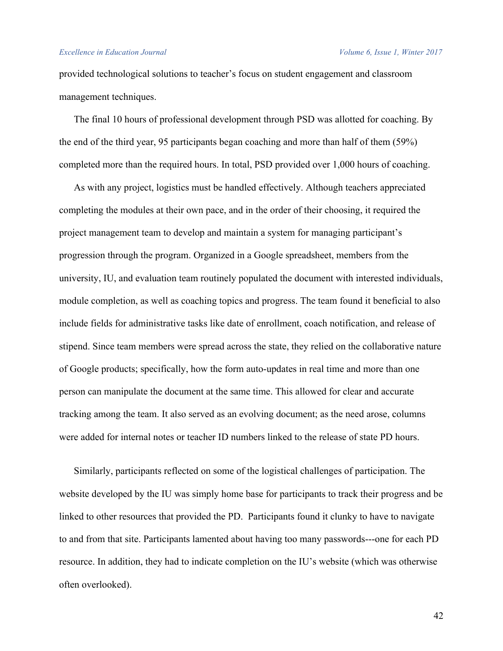#### *Excellence in Education Journal Volume 6, Issue 1, Winter 2017*

provided technological solutions to teacher's focus on student engagement and classroom management techniques.

The final 10 hours of professional development through PSD was allotted for coaching. By the end of the third year, 95 participants began coaching and more than half of them (59%) completed more than the required hours. In total, PSD provided over 1,000 hours of coaching.

As with any project, logistics must be handled effectively. Although teachers appreciated completing the modules at their own pace, and in the order of their choosing, it required the project management team to develop and maintain a system for managing participant's progression through the program. Organized in a Google spreadsheet, members from the university, IU, and evaluation team routinely populated the document with interested individuals, module completion, as well as coaching topics and progress. The team found it beneficial to also include fields for administrative tasks like date of enrollment, coach notification, and release of stipend. Since team members were spread across the state, they relied on the collaborative nature of Google products; specifically, how the form auto-updates in real time and more than one person can manipulate the document at the same time. This allowed for clear and accurate tracking among the team. It also served as an evolving document; as the need arose, columns were added for internal notes or teacher ID numbers linked to the release of state PD hours.

Similarly, participants reflected on some of the logistical challenges of participation. The website developed by the IU was simply home base for participants to track their progress and be linked to other resources that provided the PD. Participants found it clunky to have to navigate to and from that site. Participants lamented about having too many passwords---one for each PD resource. In addition, they had to indicate completion on the IU's website (which was otherwise often overlooked).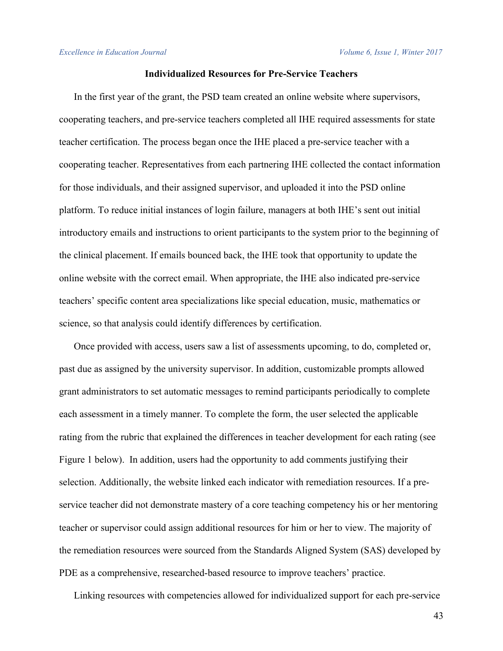## **Individualized Resources for Pre-Service Teachers**

In the first year of the grant, the PSD team created an online website where supervisors, cooperating teachers, and pre-service teachers completed all IHE required assessments for state teacher certification. The process began once the IHE placed a pre-service teacher with a cooperating teacher. Representatives from each partnering IHE collected the contact information for those individuals, and their assigned supervisor, and uploaded it into the PSD online platform. To reduce initial instances of login failure, managers at both IHE's sent out initial introductory emails and instructions to orient participants to the system prior to the beginning of the clinical placement. If emails bounced back, the IHE took that opportunity to update the online website with the correct email. When appropriate, the IHE also indicated pre-service teachers' specific content area specializations like special education, music, mathematics or science, so that analysis could identify differences by certification.

Once provided with access, users saw a list of assessments upcoming, to do, completed or, past due as assigned by the university supervisor. In addition, customizable prompts allowed grant administrators to set automatic messages to remind participants periodically to complete each assessment in a timely manner. To complete the form, the user selected the applicable rating from the rubric that explained the differences in teacher development for each rating (see Figure 1 below). In addition, users had the opportunity to add comments justifying their selection. Additionally, the website linked each indicator with remediation resources. If a preservice teacher did not demonstrate mastery of a core teaching competency his or her mentoring teacher or supervisor could assign additional resources for him or her to view. The majority of the remediation resources were sourced from the Standards Aligned System (SAS) developed by PDE as a comprehensive, researched-based resource to improve teachers' practice.

Linking resources with competencies allowed for individualized support for each pre-service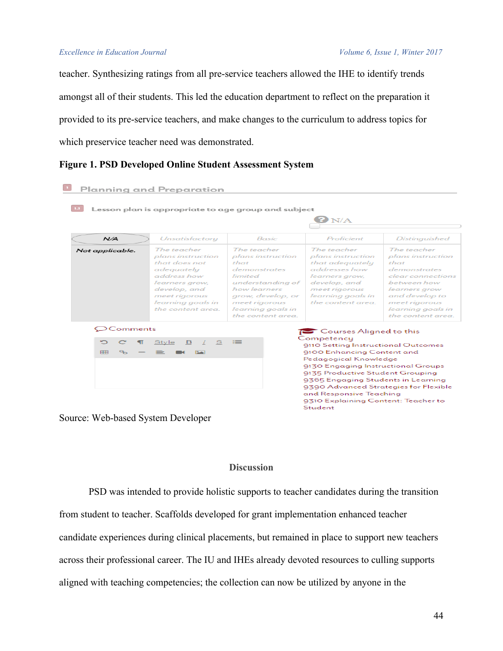teacher. Synthesizing ratings from all pre-service teachers allowed the IHE to identify trends amongst all of their students. This led the education department to reflect on the preparation it provided to its pre-service teachers, and make changes to the curriculum to address topics for which preservice teacher need was demonstrated.

# **Figure 1. PSD Developed Online Student Assessment System**

|                     | Planning and Preparation                                                                                                                                                    |                                                                                                                                                                                            |                                                                                                                                                                                                                                                                                                                                                |                                                                                                                                                                                               |  |
|---------------------|-----------------------------------------------------------------------------------------------------------------------------------------------------------------------------|--------------------------------------------------------------------------------------------------------------------------------------------------------------------------------------------|------------------------------------------------------------------------------------------------------------------------------------------------------------------------------------------------------------------------------------------------------------------------------------------------------------------------------------------------|-----------------------------------------------------------------------------------------------------------------------------------------------------------------------------------------------|--|
|                     |                                                                                                                                                                             | Lesson plan is appropriate to age group and subject                                                                                                                                        | N/A                                                                                                                                                                                                                                                                                                                                            |                                                                                                                                                                                               |  |
| N/A                 | <b>Unsatisfactory</b>                                                                                                                                                       | Basic                                                                                                                                                                                      | Proficient                                                                                                                                                                                                                                                                                                                                     | <b>Distinguished</b>                                                                                                                                                                          |  |
| Not applicable.     | The teacher<br>plans instruction<br>that does not<br>adeguately<br>address how<br>learners grow,<br>develop, and<br>meet rigorous<br>learning goals in<br>the content area. | The teacher<br>plans instruction<br>$th$ at<br>demonstrates<br>limited<br>understanding of<br>how learners<br>grow, develop, or<br>meet rigorous<br>learning goals in<br>the content area. | The teacher<br>plans instruction<br>that adequately<br>addresses how<br>learners grow,<br>develop, and<br>meet rigorous<br>learning goals in<br>the content area.                                                                                                                                                                              | The teacher<br>plans instruction<br>$th$ at<br>demonstrates<br>clear connections<br>between how<br>learners grow<br>and develop to<br>meet rigorous<br>learning goals in<br>the content area. |  |
| $\bigcirc$ Comments |                                                                                                                                                                             |                                                                                                                                                                                            | Courses Aligned to this                                                                                                                                                                                                                                                                                                                        |                                                                                                                                                                                               |  |
| 甲甲                  | Style<br>S<br>в                                                                                                                                                             | ≡                                                                                                                                                                                          | Competency<br>9110 Setting Instructional Outcomes<br>9100 Enhancing Content and<br>Pedagogical Knowledge<br>9130 Engaging Instructional Groups<br>9135 Productive Student Grouping<br>9365 Engaging Students in Learning<br>9390 Advanced Strategies for Flexible<br>and Responsive Teaching<br>9310 Explaining Content: Teacher to<br>Student |                                                                                                                                                                                               |  |

Source: Web-based System Developer

## **Discussion**

PSD was intended to provide holistic supports to teacher candidates during the transition from student to teacher. Scaffolds developed for grant implementation enhanced teacher candidate experiences during clinical placements, but remained in place to support new teachers across their professional career. The IU and IHEs already devoted resources to culling supports aligned with teaching competencies; the collection can now be utilized by anyone in the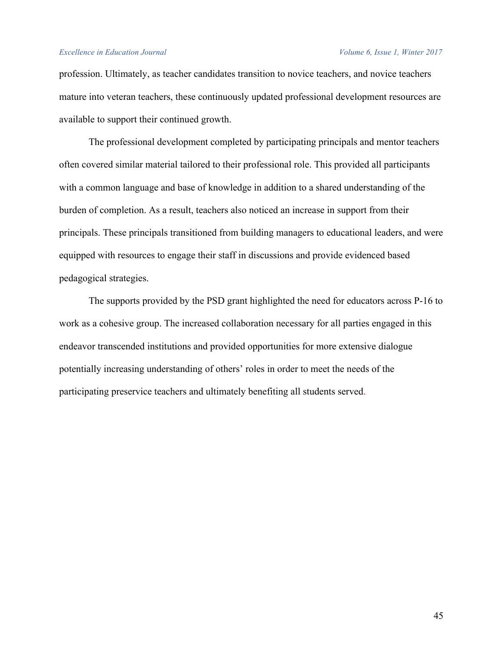#### *Excellence in Education Journal Volume 6, Issue 1, Winter 2017*

profession. Ultimately, as teacher candidates transition to novice teachers, and novice teachers mature into veteran teachers, these continuously updated professional development resources are available to support their continued growth.

The professional development completed by participating principals and mentor teachers often covered similar material tailored to their professional role. This provided all participants with a common language and base of knowledge in addition to a shared understanding of the burden of completion. As a result, teachers also noticed an increase in support from their principals. These principals transitioned from building managers to educational leaders, and were equipped with resources to engage their staff in discussions and provide evidenced based pedagogical strategies.

The supports provided by the PSD grant highlighted the need for educators across P-16 to work as a cohesive group. The increased collaboration necessary for all parties engaged in this endeavor transcended institutions and provided opportunities for more extensive dialogue potentially increasing understanding of others' roles in order to meet the needs of the participating preservice teachers and ultimately benefiting all students served.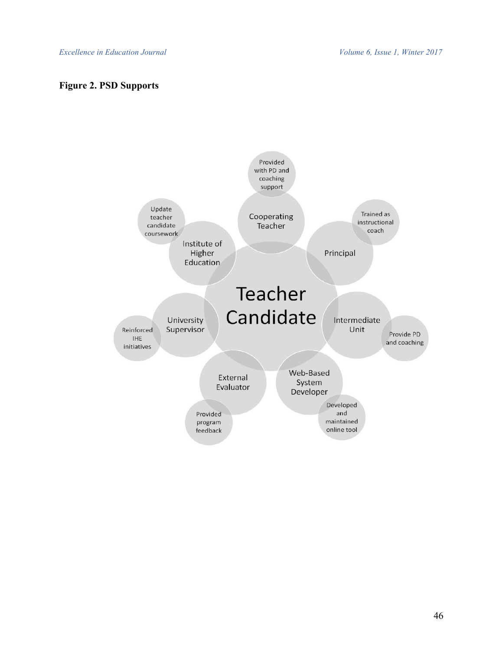# **Figure 2. PSD Supports**

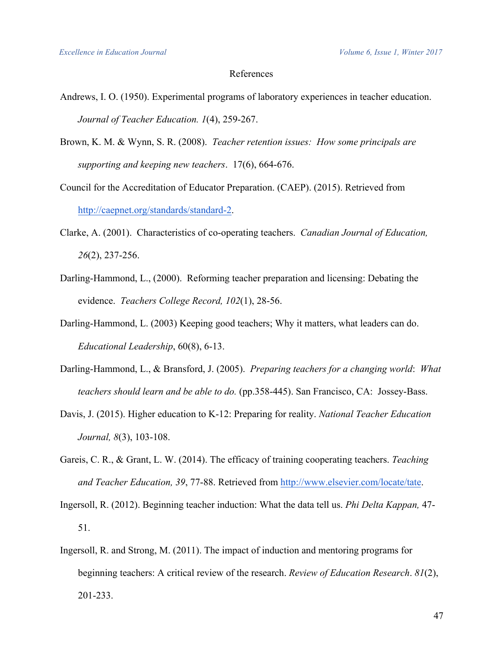## References

- Andrews, I. O. (1950). Experimental programs of laboratory experiences in teacher education. *Journal of Teacher Education. 1*(4), 259-267.
- Brown, K. M. & Wynn, S. R. (2008). *Teacher retention issues: How some principals are supporting and keeping new teachers*. 17(6), 664-676.
- Council for the Accreditation of Educator Preparation. (CAEP). (2015). Retrieved from http://caepnet.org/standards/standard-2.
- Clarke, A. (2001). Characteristics of co-operating teachers. *Canadian Journal of Education, 26*(2), 237-256.
- Darling-Hammond, L., (2000). Reforming teacher preparation and licensing: Debating the evidence. *Teachers College Record, 102*(1), 28-56.
- Darling-Hammond, L. (2003) Keeping good teachers; Why it matters, what leaders can do. *Educational Leadership*, 60(8), 6-13.
- Darling-Hammond, L., & Bransford, J. (2005). *Preparing teachers for a changing world*: *What teachers should learn and be able to do.* (pp.358-445). San Francisco, CA: Jossey-Bass.
- Davis, J. (2015). Higher education to K-12: Preparing for reality. *National Teacher Education Journal, 8*(3), 103-108.
- Gareis, C. R., & Grant, L. W. (2014). The efficacy of training cooperating teachers. *Teaching and Teacher Education, 39*, 77-88. Retrieved from http://www.elsevier.com/locate/tate.
- Ingersoll, R. (2012). Beginning teacher induction: What the data tell us. *Phi Delta Kappan,* 47- 51.
- Ingersoll, R. and Strong, M. (2011). The impact of induction and mentoring programs for beginning teachers: A critical review of the research. *Review of Education Research*. *81*(2), 201-233.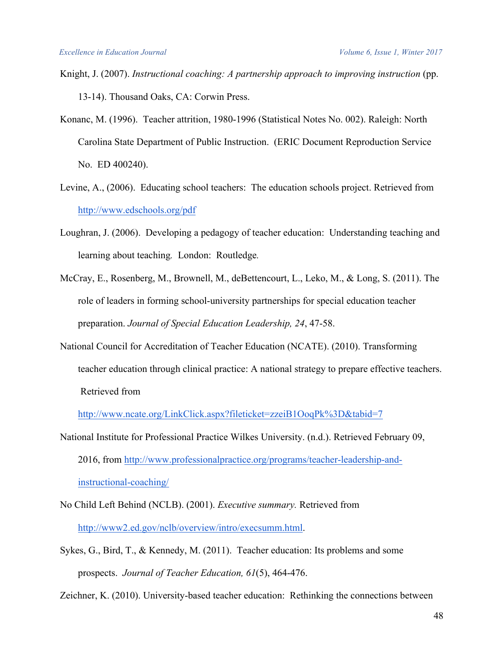- Knight, J. (2007). *Instructional coaching: A partnership approach to improving instruction* (pp. 13-14). Thousand Oaks, CA: Corwin Press.
- Konanc, M. (1996). Teacher attrition, 1980-1996 (Statistical Notes No. 002). Raleigh: North Carolina State Department of Public Instruction. (ERIC Document Reproduction Service No. ED 400240).
- Levine, A., (2006). Educating school teachers: The education schools project. Retrieved from http://www.edschools.org/pdf
- Loughran, J. (2006). Developing a pedagogy of teacher education: Understanding teaching and learning about teaching*.* London: Routledge*.*
- McCray, E., Rosenberg, M., Brownell, M., deBettencourt, L., Leko, M., & Long, S. (2011). The role of leaders in forming school-university partnerships for special education teacher preparation. *Journal of Special Education Leadership, 24*, 47-58.
- National Council for Accreditation of Teacher Education (NCATE). (2010). Transforming teacher education through clinical practice: A national strategy to prepare effective teachers. Retrieved from

http://www.ncate.org/LinkClick.aspx?fileticket=zzeiB1OoqPk%3D&tabid=7

- National Institute for Professional Practice Wilkes University. (n.d.). Retrieved February 09, 2016, from http://www.professionalpractice.org/programs/teacher-leadership-andinstructional-coaching/
- No Child Left Behind (NCLB). (2001). *Executive summary.* Retrieved from http://www2.ed.gov/nclb/overview/intro/execsumm.html.
- Sykes, G., Bird, T., & Kennedy, M. (2011). Teacher education: Its problems and some prospects. *Journal of Teacher Education, 61*(5), 464-476.

Zeichner, K. (2010). University-based teacher education: Rethinking the connections between